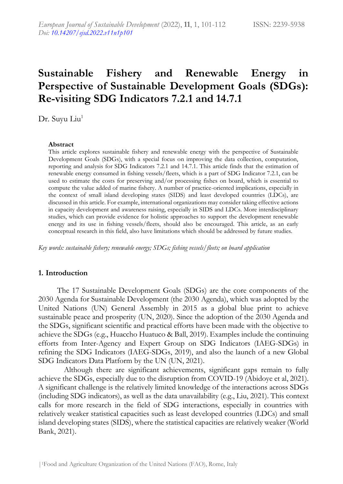# **Sustainable Fishery and Renewable Energy in Perspective of Sustainable Development Goals (SDGs): Re-visiting SDG Indicators 7.2.1 and 14.7.1**

Dr. Suyu Liu<sup>1</sup>

#### **Abstract**

This article explores sustainable fishery and renewable energy with the perspective of Sustainable Development Goals (SDGs), with a special focus on improving the data collection, computation, reporting and analysis for SDG Indicators 7.2.1 and 14.7.1. This article finds that the estimation of renewable energy consumed in fishing vessels/fleets, which is a part of SDG Indicator 7.2.1, can be used to estimate the costs for preserving and/or processing fishes on board, which is essential to compute the value added of marine fishery. A number of practice-oriented implications, especially in the context of small island developing states (SIDS) and least developed countries (LDCs), are discussed in this article. For example, international organizations may consider taking effective actions in capacity development and awareness raising, especially in SIDS and LDCs. More interdisciplinary studies, which can provide evidence for holistic approaches to support the development renewable energy and its use in fishing vessels/fleets, should also be encouraged. This article, as an early conceptual research in this field, also have limitations which should be addressed by future studies.

*Key words: sustainable fishery; renewable energy; SDGs; fishing vessels/fleets; on board application*

# **1. Introduction**

The 17 Sustainable Development Goals (SDGs) are the core components of the 2030 Agenda for Sustainable Development (the 2030 Agenda), which was adopted by the United Nations (UN) General Assembly in 2015 as a global blue print to achieve sustainable peace and prosperity (UN, 2020). Since the adoption of the 2030 Agenda and the SDGs, significant scientific and practical efforts have been made with the objective to achieve the SDGs (e.g., Huaccho Huatuco & Ball, 2019). Examples include the continuing efforts from Inter-Agency and Expert Group on SDG Indicators (IAEG-SDGs) in refining the SDG Indicators (IAEG-SDGs, 2019), and also the launch of a new Global SDG Indicators Data Platform by the UN (UN, 2021).

Although there are significant achievements, significant gaps remain to fully achieve the SDGs, especially due to the disruption from COVID-19 (Abidoye et al, 2021). A significant challenge is the relatively limited knowledge of the interactions across SDGs (including SDG indicators), as well as the data unavailability (e.g., Liu, 2021). This context calls for more research in the field of SDG interactions, especially in countries with relatively weaker statistical capacities such as least developed countries (LDCs) and small island developing states (SIDS), where the statistical capacities are relatively weaker (World Bank, 2021).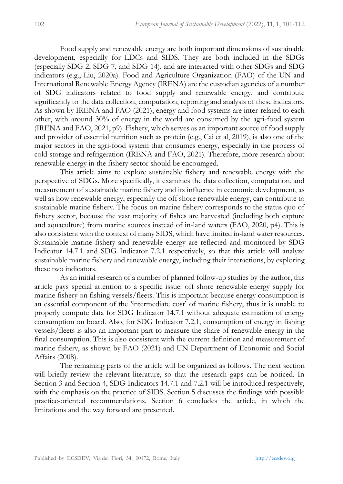Food supply and renewable energy are both important dimensions of sustainable development, especially for LDCs and SIDS. They are both included in the SDGs (especially SDG 2, SDG 7, and SDG 14), and are interacted with other SDGs and SDG indicators (e.g., Liu, 2020a). Food and Agriculture Organization (FAO) of the UN and International Renewable Energy Agency (IRENA) are the custodian agencies of a number of SDG indicators related to food supply and renewable energy, and contribute significantly to the data collection, computation, reporting and analysis of these indicators. As shown by IRENA and FAO (2021), energy and food systems are inter-related to each other, with around 30% of energy in the world are consumed by the agri-food system (IRENA and FAO, 2021, p9). Fishery, which serves as an important source of food supply and provider of essential nutrition such as protein (e.g., Cai et al, 2019), is also one of the major sectors in the agri-food system that consumes energy, especially in the process of cold storage and refrigeration (IRENA and FAO, 2021). Therefore, more research about renewable energy in the fishery sector should be encouraged.

This article aims to explore sustainable fishery and renewable energy with the perspective of SDGs. More specifically, it examines the data collection, computation, and measurement of sustainable marine fishery and its influence in economic development, as well as how renewable energy, especially the off shore renewable energy, can contribute to sustainable marine fishery. The focus on marine fishery corresponds to the status quo of fishery sector, because the vast majority of fishes are harvested (including both capture and aquaculture) from marine sources instead of in-land waters (FAO, 2020, p4). This is also consistent with the context of many SIDS, which have limited in-land water resources. Sustainable marine fishery and renewable energy are reflected and monitored by SDG Indicator 14.7.1 and SDG Indicator 7.2.1 respectively, so that this article will analyze sustainable marine fishery and renewable energy, including their interactions, by exploring these two indicators.

As an initial research of a number of planned follow-up studies by the author, this article pays special attention to a specific issue: off shore renewable energy supply for marine fishery on fishing vessels/fleets. This is important because energy consumption is an essential component of the 'intermediate cost' of marine fishery, thus it is unable to properly compute data for SDG Indicator 14.7.1 without adequate estimation of energy consumption on board. Also, for SDG Indicator 7.2.1, consumption of energy in fishing vessels/fleets is also an important part to measure the share of renewable energy in the final consumption. This is also consistent with the current definition and measurement of marine fishery, as shown by FAO (2021) and UN Department of Economic and Social Affairs (2008).

The remaining parts of the article will be organized as follows. The next section will briefly review the relevant literature, so that the research gaps can be noticed. In Section 3 and Section 4, SDG Indicators 14.7.1 and 7.2.1 will be introduced respectively, with the emphasis on the practice of SIDS. Section 5 discusses the findings with possible practice-oriented recommendations. Section 6 concludes the article, in which the limitations and the way forward are presented.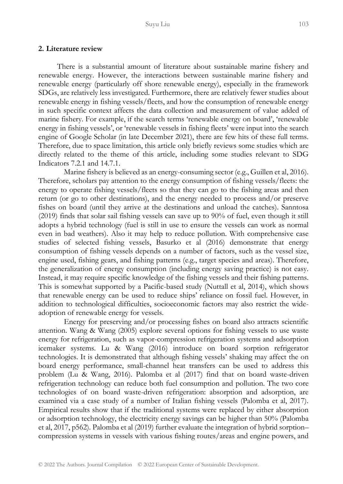#### **2. Literature review**

There is a substantial amount of literature about sustainable marine fishery and renewable energy. However, the interactions between sustainable marine fishery and renewable energy (particularly off shore renewable energy), especially in the framework SDGs, are relatively less investigated. Furthermore, there are relatively fewer studies about renewable energy in fishing vessels/fleets, and how the consumption of renewable energy in such specific context affects the data collection and measurement of value added of marine fishery. For example, if the search terms 'renewable energy on board', 'renewable energy in fishing vessels', or 'renewable vessels in fishing fleets' were input into the search engine of Google Scholar (in late December 2021), there are few hits of these full terms. Therefore, due to space limitation, this article only briefly reviews some studies which are directly related to the theme of this article, including some studies relevant to SDG Indicators 7.2.1 and 14.7.1.

Marine fishery is believed as an energy-consuming sector (e.g., Guillen et al, 2016). Therefore, scholars pay attention to the energy consumption of fishing vessels/fleets: the energy to operate fishing vessels/fleets so that they can go to the fishing areas and then return (or go to other destinations), and the energy needed to process and/or preserve fishes on board (until they arrive at the destinations and unload the catches). Sanntosa (2019) finds that solar sail fishing vessels can save up to 90% of fuel, even though it still adopts a hybrid technology (fuel is still in use to ensure the vessels can work as normal even in bad weathers). Also it may help to reduce pollution. With comprehensive case studies of selected fishing vessels, Basurko et al (2016) demonstrate that energy consumption of fishing vessels depends on a number of factors, such as the vessel size, engine used, fishing gears, and fishing patterns (e.g., target species and areas). Therefore, the generalization of energy consumption (including energy saving practice) is not easy. Instead, it may require specific knowledge of the fishing vessels and their fishing patterns. This is somewhat supported by a Pacific-based study (Nuttall et al, 2014), which shows that renewable energy can be used to reduce ships' reliance on fossil fuel. However, in addition to technological difficulties, socioeconomic factors may also restrict the wideadoption of renewable energy for vessels.

Energy for preserving and/or processing fishes on board also attracts scientific attention. Wang & Wang (2005) explore several options for fishing vessels to use waste energy for refrigeration, such as vapor-compression refrigeration systems and adsorption icemaker systems. Lu & Wang (2016) introduce on board sorption refrigerator technologies. It is demonstrated that although fishing vessels' shaking may affect the on board energy performance, small-channel heat transfers can be used to address this problem (Lu & Wang, 2016). Palomba et al (2017) find that on board waste-driven refrigeration technology can reduce both fuel consumption and pollution. The two core technologies of on board waste-driven refrigeration: absorption and adsorption, are examined via a case study of a number of Italian fishing vessels (Palomba et al, 2017). Empirical results show that if the traditional systems were replaced by either absorption or adsorption technology, the electricity energy savings can be higher than 50% (Palomba et al, 2017, p562). Palomba et al (2019) further evaluate the integration of hybrid sorption– compression systems in vessels with various fishing routes/areas and engine powers, and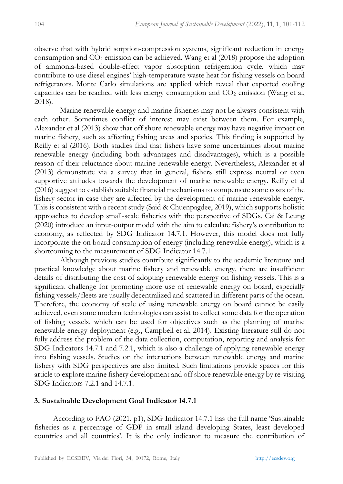observe that with hybrid sorption-compression systems, significant reduction in energy consumption and  $CO<sub>2</sub>$  emission can be achieved. Wang et al (2018) propose the adoption of ammonia-based double-effect vapor absorption refrigeration cycle, which may contribute to use diesel engines' high-temperature waste heat for fishing vessels on board refrigerators. Monte Carlo simulations are applied which reveal that expected cooling capacities can be reached with less energy consumption and  $CO<sub>2</sub>$  emission (Wang et al, 2018).

Marine renewable energy and marine fisheries may not be always consistent with each other. Sometimes conflict of interest may exist between them. For example, Alexander et al (2013) show that off shore renewable energy may have negative impact on marine fishery, such as affecting fishing areas and species. This finding is supported by Reilly et al (2016). Both studies find that fishers have some uncertainties about marine renewable energy (including both advantages and disadvantages), which is a possible reason of their reluctance about marine renewable energy. Nevertheless, Alexander et al (2013) demonstrate via a survey that in general, fishers still express neutral or even supportive attitudes towards the development of marine renewable energy. Reilly et al (2016) suggest to establish suitable financial mechanisms to compensate some costs of the fishery sector in case they are affected by the development of marine renewable energy. This is consistent with a recent study (Said & Chuenpagdee, 2019), which supports holistic approaches to develop small-scale fisheries with the perspective of SDGs. Cai & Leung (2020) introduce an input-output model with the aim to calculate fishery's contribution to economy, as reflected by SDG Indicator 14.7.1. However, this model does not fully incorporate the on board consumption of energy (including renewable energy), which is a shortcoming to the measurement of SDG Indicator 14.7.1

Although previous studies contribute significantly to the academic literature and practical knowledge about marine fishery and renewable energy, there are insufficient details of distributing the cost of adopting renewable energy on fishing vessels. This is a significant challenge for promoting more use of renewable energy on board, especially fishing vessels/fleets are usually decentralized and scattered in different parts of the ocean. Therefore, the economy of scale of using renewable energy on board cannot be easily achieved, even some modern technologies can assist to collect some data for the operation of fishing vessels, which can be used for objectives such as the planning of marine renewable energy deployment (e.g., Campbell et al, 2014). Existing literature still do not fully address the problem of the data collection, computation, reporting and analysis for SDG Indicators 14.7.1 and 7.2.1, which is also a challenge of applying renewable energy into fishing vessels. Studies on the interactions between renewable energy and marine fishery with SDG perspectives are also limited. Such limitations provide spaces for this article to explore marine fishery development and off shore renewable energy by re-visiting SDG Indicators 7.2.1 and 14.7.1.

# **3. Sustainable Development Goal Indicator 14.7.1**

According to FAO (2021, p1), SDG Indicator 14.7.1 has the full name 'Sustainable fisheries as a percentage of GDP in small island developing States, least developed countries and all countries'. It is the only indicator to measure the contribution of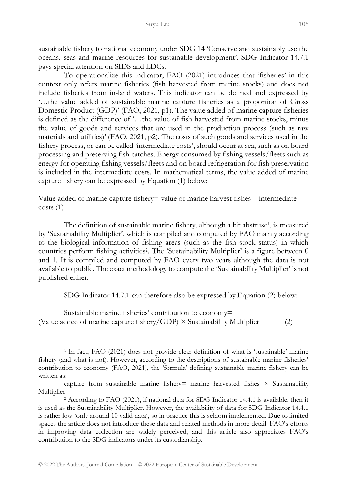sustainable fishery to national economy under SDG 14 'Conserve and sustainably use the oceans, seas and marine resources for sustainable development'. SDG Indicator 14.7.1 pays special attention on SIDS and LDCs.

To operationalize this indicator, FAO (2021) introduces that 'fisheries' in this context only refers marine fisheries (fish harvested from marine stocks) and does not include fisheries from in-land waters. This indicator can be defined and expressed by '…the value added of sustainable marine capture fisheries as a proportion of Gross Domestic Product (GDP)' (FAO, 2021, p1). The value added of marine capture fisheries is defined as the difference of '…the value of fish harvested from marine stocks, minus the value of goods and services that are used in the production process (such as raw materials and utilities)' (FAO, 2021, p2). The costs of such goods and services used in the fishery process, or can be called 'intermediate costs', should occur at sea, such as on board processing and preserving fish catches. Energy consumed by fishing vessels/fleets such as energy for operating fishing vessels/fleets and on board refrigeration for fish preservation is included in the intermediate costs. In mathematical terms, the value added of marine capture fishery can be expressed by Equation (1) below:

Value added of marine capture fishery= value of marine harvest fishes – intermediate costs (1)

The definition of sustainable marine fishery, although a bit abstruse<sup>1</sup>, is measured by 'Sustainability Multiplier', which is compiled and computed by FAO mainly according to the biological information of fishing areas (such as the fish stock status) in which countries perform fishing activities<sup>2</sup>. The 'Sustainability Multiplier' is a figure between 0 and 1. It is compiled and computed by FAO every two years although the data is not available to public. The exact methodology to compute the 'Sustainability Multiplier' is not published either.

SDG Indicator 14.7.1 can therefore also be expressed by Equation (2) below:

Sustainable marine fisheries' contribution to economy= (Value added of marine capture fishery/GDP)  $\times$  Sustainability Multiplier (2)

<sup>&</sup>lt;sup>1</sup> In fact, FAO (2021) does not provide clear definition of what is 'sustainable' marine fishery (and what is not). However, according to the descriptions of sustainable marine fisheries' contribution to economy (FAO, 2021), the 'formula' defining sustainable marine fishery can be written as:

capture from sustainable marine fishery= marine harvested fishes  $\times$  Sustainability Multiplier

<sup>2</sup> According to FAO (2021), if national data for SDG Indicator 14.4.1 is available, then it is used as the Sustainability Multiplier. However, the availability of data for SDG Indicator 14.4.1 is rather low (only around 10 valid data), so in practice this is seldom implemented. Due to limited spaces the article does not introduce these data and related methods in more detail. FAO's efforts in improving data collection are widely perceived, and this article also appreciates FAO's contribution to the SDG indicators under its custodianship.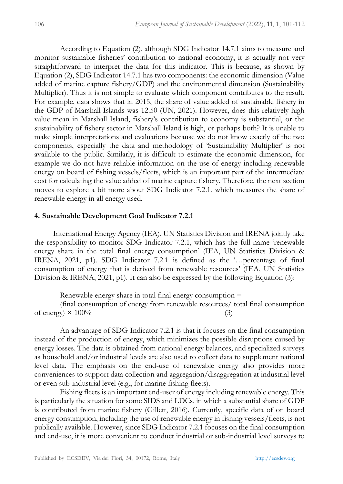According to Equation (2), although SDG Indicator 14.7.1 aims to measure and monitor sustainable fisheries' contribution to national economy, it is actually not very straightforward to interpret the data for this indicator. This is because, as shown by Equation (2), SDG Indicator 14.7.1 has two components: the economic dimension (Value added of marine capture fishery/GDP) and the environmental dimension (Sustainability Multiplier). Thus it is not simple to evaluate which component contributes to the result. For example, data shows that in 2015, the share of value added of sustainable fishery in the GDP of Marshall Islands was 12.50 (UN, 2021). However, does this relatively high value mean in Marshall Island, fishery's contribution to economy is substantial, or the sustainability of fishery sector in Marshall Island is high, or perhaps both? It is unable to make simple interpretations and evaluations because we do not know exactly of the two components, especially the data and methodology of 'Sustainability Multiplier' is not available to the public. Similarly, it is difficult to estimate the economic dimension, for example we do not have reliable information on the use of energy including renewable energy on board of fishing vessels/fleets, which is an important part of the intermediate cost for calculating the value added of marine capture fishery. Therefore, the next section moves to explore a bit more about SDG Indicator 7.2.1, which measures the share of renewable energy in all energy used.

### **4. Sustainable Development Goal Indicator 7.2.1**

International Energy Agency (IEA), UN Statistics Division and IRENA jointly take the responsibility to monitor SDG Indicator 7.2.1, which has the full name 'renewable energy share in the total final energy consumption' (IEA, UN Statistics Division & IRENA, 2021, p1). SDG Indicator 7.2.1 is defined as the '…percentage of final consumption of energy that is derived from renewable resources' (IEA, UN Statistics Division & IRENA, 2021, p1). It can also be expressed by the following Equation (3):

Renewable energy share in total final energy consumption  $=$ 

(final consumption of energy from renewable resources/ total final consumption of energy)  $\times$  100% (3)

An advantage of SDG Indicator 7.2.1 is that it focuses on the final consumption instead of the production of energy, which minimizes the possible disruptions caused by energy losses. The data is obtained from national energy balances, and specialized surveys as household and/or industrial levels are also used to collect data to supplement national level data. The emphasis on the end-use of renewable energy also provides more conveniences to support data collection and aggregation/disaggregation at industrial level or even sub-industrial level (e.g., for marine fishing fleets).

Fishing fleets is an important end-user of energy including renewable energy. This is particularly the situation for some SIDS and LDCs, in which a substantial share of GDP is contributed from marine fishery (Gillett, 2016). Currently, specific data of on board energy consumption, including the use of renewable energy in fishing vessels/fleets, is not publically available. However, since SDG Indicator 7.2.1 focuses on the final consumption and end-use, it is more convenient to conduct industrial or sub-industrial level surveys to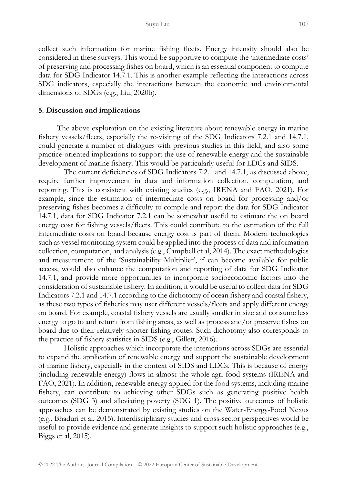collect such information for marine fishing fleets. Energy intensity should also be considered in these surveys. This would be supportive to compute the 'intermediate costs' of preserving and processing fishes on board, which is an essential component to compute data for SDG Indicator 14.7.1. This is another example reflecting the interactions across SDG indicators, especially the interactions between the economic and environmental dimensions of SDGs (e.g., Liu, 2020b).

#### **5. Discussion and implications**

The above exploration on the existing literature about renewable energy in marine fishery vessels/fleets, especially the re-visiting of the SDG Indicators 7.2.1 and 14.7.1, could generate a number of dialogues with previous studies in this field, and also some practice-oriented implications to support the use of renewable energy and the sustainable development of marine fishery. This would be particularly useful for LDCs and SIDS.

The current deficiencies of SDG Indicators 7.2.1 and 14.7.1, as discussed above, require further improvement in data and information collection, computation, and reporting. This is consistent with existing studies (e.g., IRENA and FAO, 2021). For example, since the estimation of intermediate costs on board for processing and/or preserving fishes becomes a difficulty to compile and report the data for SDG Indicator 14.7.1, data for SDG Indicator 7.2.1 can be somewhat useful to estimate the on board energy cost for fishing vessels/fleets. This could contribute to the estimation of the full intermediate costs on board because energy cost is part of them. Modern technologies such as vessel monitoring system could be applied into the process of data and information collection, computation, and analysis (e.g., Campbell et al, 2014). The exact methodologies and measurement of the 'Sustainability Multiplier', if can become available for public access, would also enhance the computation and reporting of data for SDG Indicator 14.7.1, and provide more opportunities to incorporate socioeconomic factors into the consideration of sustainable fishery. In addition, it would be useful to collect data for SDG Indicators 7.2.1 and 14.7.1 according to the dichotomy of ocean fishery and coastal fishery, as these two types of fisheries may user different vessels/fleets and apply different energy on board. For example, coastal fishery vessels are usually smaller in size and consume less energy to go to and return from fishing areas, as well as process and/or preserve fishes on board due to their relatively shorter fishing routes. Such dichotomy also corresponds to the practice of fishery statistics in SIDS (e.g., Gillett, 2016).

Holistic approaches which incorporate the interactions across SDGs are essential to expand the application of renewable energy and support the sustainable development of marine fishery, especially in the context of SIDS and LDCs. This is because of energy (including renewable energy) flows in almost the whole agri-food systems (IRENA and FAO, 2021). In addition, renewable energy applied for the food systems, including marine fishery, can contribute to achieving other SDGs such as generating positive health outcomes (SDG 3) and alleviating poverty (SDG 1). The positive outcomes of holistic approaches can be demonstrated by existing studies on the Water-Energy-Food Nexus (e.g., Bhaduri et al, 2015). Interdisciplinary studies and cross-sector perspectives would be useful to provide evidence and generate insights to support such holistic approaches (e.g., Biggs et al, 2015).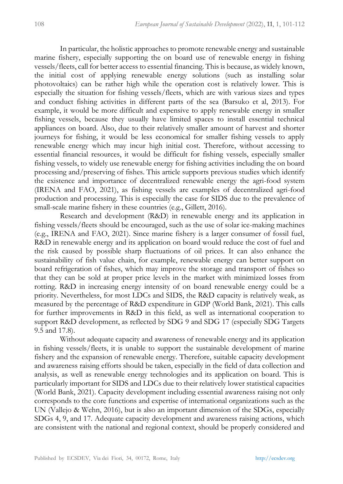In particular, the holistic approaches to promote renewable energy and sustainable marine fishery, especially supporting the on board use of renewable energy in fishing vessels/fleets, call for better access to essential financing. This is because, as widely known, the initial cost of applying renewable energy solutions (such as installing solar photovoltaics) can be rather high while the operation cost is relatively lower. This is especially the situation for fishing vessels/fleets, which are with various sizes and types and conduct fishing activities in different parts of the sea (Barsuko et al, 2013). For example, it would be more difficult and expensive to apply renewable energy in smaller fishing vessels, because they usually have limited spaces to install essential technical appliances on board. Also, due to their relatively smaller amount of harvest and shorter journeys for fishing, it would be less economical for smaller fishing vessels to apply renewable energy which may incur high initial cost. Therefore, without accessing to essential financial resources, it would be difficult for fishing vessels, especially smaller fishing vessels, to widely use renewable energy for fishing activities including the on board processing and/preserving of fishes. This article supports previous studies which identify the existence and importance of decentralized renewable energy the agri-food system (IRENA and FAO, 2021), as fishing vessels are examples of decentralized agri-food production and processing. This is especially the case for SIDS due to the prevalence of small-scale marine fishery in these countries (e.g., Gillett, 2016).

Research and development (R&D) in renewable energy and its application in fishing vessels/fleets should be encouraged, such as the use of solar ice-making machines (e.g., IRENA and FAO, 2021). Since marine fishery is a larger consumer of fossil fuel, R&D in renewable energy and its application on board would reduce the cost of fuel and the risk caused by possible sharp fluctuations of oil prices. It can also enhance the sustainability of fish value chain, for example, renewable energy can better support on board refrigeration of fishes, which may improve the storage and transport of fishes so that they can be sold at proper price levels in the market with minimized losses from rotting. R&D in increasing energy intensity of on board renewable energy could be a priority. Nevertheless, for most LDCs and SIDS, the R&D capacity is relatively weak, as measured by the percentage of R&D expenditure in GDP (World Bank, 2021). This calls for further improvements in R&D in this field, as well as international cooperation to support R&D development, as reflected by SDG 9 and SDG 17 (especially SDG Targets 9.5 and 17.8).

Without adequate capacity and awareness of renewable energy and its application in fishing vessels/fleets, it is unable to support the sustainable development of marine fishery and the expansion of renewable energy. Therefore, suitable capacity development and awareness raising efforts should be taken, especially in the field of data collection and analysis, as well as renewable energy technologies and its application on board. This is particularly important for SIDS and LDCs due to their relatively lower statistical capacities (World Bank, 2021). Capacity development including essential awareness raising not only corresponds to the core functions and expertise of international organizations such as the UN (Vallejo & Wehn, 2016), but is also an important dimension of the SDGs, especially SDGs 4, 9, and 17. Adequate capacity development and awareness raising actions, which are consistent with the national and regional context, should be properly considered and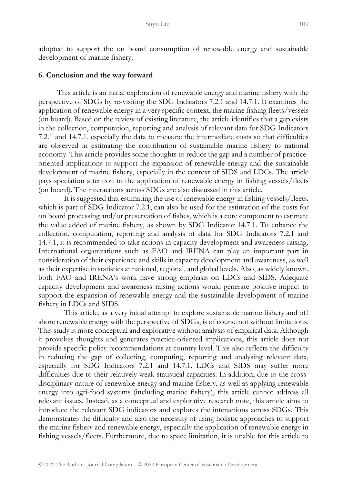adopted to support the on board consumption of renewable energy and sustainable development of marine fishery.

#### **6. Conclusion and the way forward**

This article is an initial exploration of renewable energy and marine fishery with the perspective of SDGs by re-visiting the SDG Indicators 7.2.1 and 14.7.1. It examines the application of renewable energy in a very specific context, the marine fishing fleets/vessels (on board). Based on the review of existing literature, the article identifies that a gap exists in the collection, computation, reporting and analysis of relevant data for SDG Indicators 7.2.1 and 14.7.1, especially the data to measure the intermediate costs so that difficulties are observed in estimating the contribution of sustainable marine fishery to national economy. This article provides some thoughts to reduce the gap and a number of practiceoriented implications to support the expansion of renewable energy and the sustainable development of marine fishery, especially in the context of SIDS and LDCs. The article pays speciation attention to the application of renewable energy in fishing vessels/fleets (on board). The interactions across SDGs are also discussed in this article.

It is suggested that estimating the use of renewable energy in fishing vessels/fleets, which is part of SDG Indicator 7.2.1, can also be used for the estimation of the costs for on board processing and/or preservation of fishes, which is a core component to estimate the value added of marine fishery, as shown by SDG Indicator 14.7.1. To enhance the collection, computation, reporting and analysis of data for SDG Indicators 7.2.1 and 14.7.1, it is recommended to take actions in capacity development and awareness raising. International organizations such as FAO and IRENA can play an important part in consideration of their experience and skills in capacity development and awareness, as well as their expertise in statistics at national, regional, and global levels. Also, as widely known, both FAO and IRENA's work have strong emphasis on LDCs and SIDS. Adequate capacity development and awareness raising actions would generate positive impact to support the expansion of renewable energy and the sustainable development of marine fishery in LDCs and SIDS.

This article, as a very initial attempt to explore sustainable marine fishery and off shore renewable energy with the perspective of SDGs, is of course not without limitations. This study is more conceptual and explorative without analysis of empirical data. Although it provokes thoughts and generates practice-oriented implications, this article does not provide specific policy recommendations at country level. This also reflects the difficulty in reducing the gap of collecting, computing, reporting and analysing relevant data, especially for SDG Indicators 7.2.1 and 14.7.1. LDCs and SIDS may suffer more difficulties due to their relatively weak statistical capacities. In addition, due to the crossdisciplinary nature of renewable energy and marine fishery, as well as applying renewable energy into agri-food systems (including marine fishery), this article cannot address all relevant issues. Instead, as a conceptual and explorative research note, this article aims to introduce the relevant SDG indicators and explores the interactions across SDGs. This demonstrates the difficulty and also the necessity of using holistic approaches to support the marine fishery and renewable energy, especially the application of renewable energy in fishing vessels/fleets. Furthermore, due to space limitation, it is unable for this article to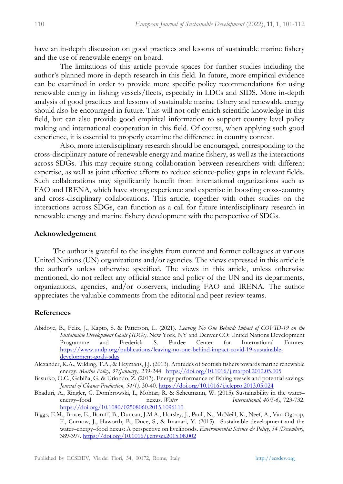have an in-depth discussion on good practices and lessons of sustainable marine fishery and the use of renewable energy on board.

The limitations of this article provide spaces for further studies including the author's planned more in-depth research in this field. In future, more empirical evidence can be examined in order to provide more specific policy recommendations for using renewable energy in fishing vessels/fleets, especially in LDCs and SIDS. More in-depth analysis of good practices and lessons of sustainable marine fishery and renewable energy should also be encouraged in future. This will not only enrich scientific knowledge in this field, but can also provide good empirical information to support country level policy making and international cooperation in this field. Of course, when applying such good experience, it is essential to properly examine the difference in country context.

Also, more interdisciplinary research should be encouraged, corresponding to the cross-disciplinary nature of renewable energy and marine fishery, as well as the interactions across SDGs. This may require strong collaboration between researchers with different expertise, as well as joint effective efforts to reduce science-policy gaps in relevant fields. Such collaborations may significantly benefit from international organizations such as FAO and IRENA, which have strong experience and expertise in boosting cross-country and cross-disciplinary collaborations. This article, together with other studies on the interactions across SDGs, can function as a call for future interdisciplinary research in renewable energy and marine fishery development with the perspective of SDGs.

### **Acknowledgement**

The author is grateful to the insights from current and former colleagues at various United Nations (UN) organizations and/or agencies. The views expressed in this article is the author's unless otherwise specified. The views in this article, unless otherwise mentioned, do not reflect any official stance and policy of the UN and its departments, organizations, agencies, and/or observers, including FAO and IRENA. The author appreciates the valuable comments from the editorial and peer review teams.

## **References**

- Abidoye, B., Felix, J., Kapto, S. & Patterson, L. (2021). *Leaving No One Behind: Impact of COVID-19 on the Sustainable Development Goals (SDGs)*. New York, NY and Denver CO: United Nations Development Programme and Frederick S. Pardee Center for International Futures. [https://www.undp.org/publications/leaving-no-one-behind-impact-covid-19-sustainable](https://www.undp.org/publications/leaving-no-one-behind-impact-covid-19-sustainable-development-goals-sdgs)[development-goals-sdgs](https://www.undp.org/publications/leaving-no-one-behind-impact-covid-19-sustainable-development-goals-sdgs)
- Alexander, K.A., Wilding, T.A., & Heymans, J.J. (2013). Attitudes of Scottish fishers towards marine renewable energy. *Marine Policy, 37(January),* 239-244.<https://doi.org/10.1016/j.marpol.2012.05.005>
- Basurko, O.C., Gabiña, G. & Uriondo, Z. (2013). Energy performance of fishing vessels and potential savings. *Journal of Cleaner Production, 54(1),* 30-40.<https://doi.org/10.1016/j.jclepro.2013.05.024>
- Bhaduri, A., Ringler, C. Dombrowski, I., Mohtar, R. & Scheumann, W. (2015). Sustainability in the water– energy–food nexus. *Water International, 40(5-6),* 723-732. <https://doi.org/10.1080/02508060.2015.1096110>
- Biggs, E.M., Bruce, E., Boruff, B., Duncan, J.M.A., Horsley, J., Pauli, N., McNeill, K., Neef, A., Van Ogtrop, F., Curnow, J., Haworth, B., Duce, S., & Imanari, Y. (2015). Sustainable development and the water–energy–food nexus: A perspective on livelihoods. *Environmental Science & Policy, 54 (December)*, 389-397[. https://doi.org/10.1016/j.envsci.2015.08.002](https://doi.org/10.1016/j.envsci.2015.08.002)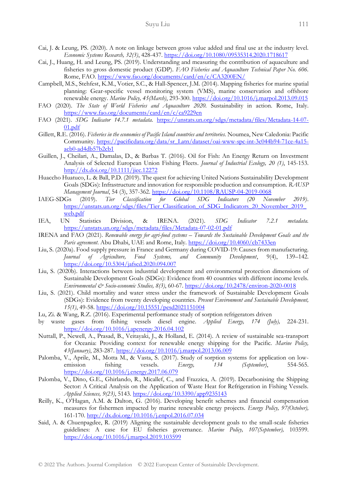- Cai, J. & Leung, PS. (2020). A note on linkage between gross value added and final use at the industry level. *Economic Systems Research, 32(3)*, 428-437.<https://doi.org/10.1080/09535314.2020.1718617>
- Cai, J., Huang, H. and Leung, PS. (2019). Understanding and measuring the contribution of aquaculture and fisheries to gross domestic product (GDP). *FAO Fisheries and Aquaculture Technical Paper No. 606.* Rome, FAO[. https://www.fao.org/documents/card/en/c/CA3200EN/](https://www.fao.org/documents/card/en/c/CA3200EN/)
- Campbell, M.S., Stehfest, K.M., Votier, S.C., & Hall-Spencer, J.M. (2014). Mapping fisheries for marine spatial planning: Gear-specific vessel monitoring system (VMS), marine conservation and offshore renewable energy. *Marine Policy, 45(March)*, 293-300[. https://doi.org/10.1016/j.marpol.2013.09.015](https://doi.org/10.1016/j.marpol.2013.09.015)
- FAO (2020). *The State of World Fisheries and Aquaculture 2020.* Sustainability in action. Rome, Italy. <https://www.fao.org/documents/card/en/c/ca9229en>
- FAO (2021). *SDG Indicator 14.7.1 metadata.* [https://unstats.un.org/sdgs/metadata/files/Metadata-14-07-](https://unstats.un.org/sdgs/metadata/files/Metadata-14-07-01.pdf)  $01.pdf$
- Gillett, R.E. (2016). *Fisheries in the economies of Pacific Island countries and territories.* Noumea, New Caledonia: Pacific Community. [https://pacificdata.org/data/sr\\_Latn/dataset/oai-www-spc-int-3c044b94-71ce-4a15](https://pacificdata.org/data/sr_Latn/dataset/oai-www-spc-int-3c044b94-71ce-4a15-acb0-ad4db57b2cb1) [acb0-ad4db57b2cb1](https://pacificdata.org/data/sr_Latn/dataset/oai-www-spc-int-3c044b94-71ce-4a15-acb0-ad4db57b2cb1)
- Guillen, J., Cheilari, A., Damalas, D., & Barbas T. (2016). Oil for Fish: An Energy Return on Investment Analysis of Selected European Union Fishing Fleets. *Journal of Industrial Ecology, 20 (1)*, 145-153. <http://dx.doi.org/10.1111/jiec.12272>
- Huaccho Huatuco, L. & Ball, P.D. (2019). The quest for achieving United Nations Sustainability Development Goals (SDGs): Infrastructure and innovation for responsible production and consumption. *RAUSP Management Journal*, 54 (3), 357-362[. https://doi.org/10.1108/RAUSP-04-2019-0068](https://doi.org/10.1108/RAUSP-04-2019-0068)
- IAEG-SDGs (2019). *Tier Classification for Global SDG Indicators (20 November 2019)*. [https://unstats.un.org/sdgs/files/Tier\\_Classification\\_of\\_SDG\\_Indicators\\_20\\_November\\_2019\\_](https://unstats.un.org/sdgs/files/Tier_Classification_of_SDG_Indicators_20_November_2019_web.pdf) [web.pdf](https://unstats.un.org/sdgs/files/Tier_Classification_of_SDG_Indicators_20_November_2019_web.pdf)
- IEA, UN Statistics Division, & IRENA. (2021). *SDG Indicator 7.2.1 metadata.* <https://unstats.un.org/sdgs/metadata/files/Metadata-07-02-01.pdf>
- IRENA and FAO (2021). *Renewable energy for agri-food systems – Towards the Sustainable Development Goals and the Paris agreement*. Abu Dhabi, UAE and Rome, Italy[. https://doi.org/10.4060/cb7433en](https://doi.org/10.4060/cb7433en)
- Liu, S. (2020a). Food supply pressure in France and Germany during COVID-19: Causes from manufacturing. *Journal of Agriculture, Food Systems, and Community Development*, 9(4), 139–142. <https://doi.org/10.5304/jafscd.2020.094.007>
- Liu, S. (2020b). Interactions between industrial development and environmental protection dimensions of Sustainable Development Goals (SDGs): Evidence from 40 countries with different income levels. *Environmental & Socio-economic Studies, 8(3)*, 60-67.<https://doi.org/10.2478/environ-2020-0018>
- Liu, S. (2021). Child mortality and water stress under the framework of Sustainable Development Goals (SDGs): Evidence from twenty developing countries. *Present Environment and Sustainable Development, 15(1)*, 49-58[. https://doi.org/10.15551/pesd2021151004](https://doi.org/10.15551/pesd2021151004)
- Lu, Zi. & Wang, R.Z. (2016). Experimental performance study of sorption refrigerators driven
- by waste gases from fishing vessels diesel engine. *Applied Energy, 174 (July),* 224-231. <https://doi.org/10.1016/j.apenergy.2016.04.102>
- Nuttall, P., Newell, A., Prasad, B., Veitayaki, J., & Holland, E. (2014). A review of sustainable sea-transport for Oceania: Providing context for renewable energy shipping for the Pacific. *Marine Policy, 43(January)*, 283-287[. https://doi.org/10.1016/j.marpol.2013.06.009](https://doi.org/10.1016/j.marpol.2013.06.009)
- Palomba, V., Aprile, M., Motta M., & Vasta, S. (2017). Study of sorption systems for application on lowemission fishing vessels. *Energy, 134 (September)*, 554-565. <https://doi.org/10.1016/j.energy.2017.06.079>
- Palomba, V., Dino, G.E., Ghirlando, R., Micallef, C., and Frazzica, A. (2019). Decarbonising the Shipping Sector: A Critical Analysis on the Application of Waste Heat for Refrigeration in Fishing Vessels. *Applied Sciences, 9(23)*, 5143.<https://doi.org/10.3390/app9235143>
- Reilly, K., O'Hagan, A.M. & Dalton, G. (2016). Developing benefit schemes and financial compensation measures for fishermen impacted by marine renewable energy projects. *Energy Policy, 97(October),* 161-170.<http://dx.doi.org/10.1016/j.enpol.2016.07.034>
- Said, A. & Chuenpagdee, R. (2019) Aligning the sustainable development goals to the small-scale fisheries guidelines: A case for EU fisheries governance. *Marine Policy, 107(September),* 103599. <https://doi.org/10.1016/j.marpol.2019.103599>